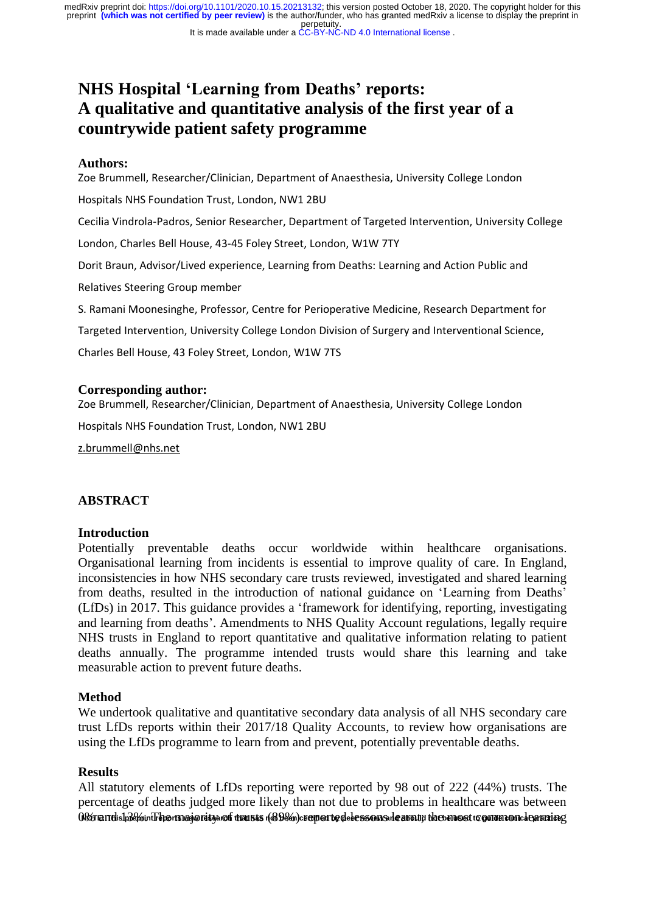### It is made available under a CC-BY-NC-ND 4.0 International license.

# **NHS Hospital 'Learning from Deaths' reports: A qualitative and quantitative analysis of the first year of a countrywide patient safety programme**

### **Authors:**

Zoe Brummell, Researcher/Clinician, Department of Anaesthesia, University College London Hospitals NHS Foundation Trust, London, NW1 2BU Cecilia Vindrola-Padros, Senior Researcher, Department of Targeted Intervention, University College London, Charles Bell House, 43-45 Foley Street, London, W1W 7TY Dorit Braun, Advisor/Lived experience, Learning from Deaths: Learning and Action Public and Relatives Steering Group member S. Ramani Moonesinghe, Professor, Centre for Perioperative Medicine, Research Department for Targeted Intervention, University College London Division of Surgery and Interventional Science,

Charles Bell House, 43 Foley Street, London, W1W 7TS

### **Corresponding author:**

Zoe Brummell, Researcher/Clinician, Department of Anaesthesia, University College London

Hospitals NHS Foundation Trust, London, NW1 2BU

[z.brummell@nhs.net](mailto:z.brummell@nhs.net)

### **ABSTRACT**

### **Introduction**

Potentially preventable deaths occur worldwide within healthcare organisations. Organisational learning from incidents is essential to improve quality of care. In England, inconsistencies in how NHS secondary care trusts reviewed, investigated and shared learning from deaths, resulted in the introduction of national guidance on 'Learning from Deaths' (LfDs) in 2017. This guidance provides a 'framework for identifying, reporting, investigating and learning from deaths'. Amendments to NHS Quality Account regulations, legally require NHS trusts in England to report quantitative and qualitative information relating to patient deaths annually. The programme intended trusts would share this learning and take measurable action to prevent future deaths.

### **Method**

We undertook qualitative and quantitative secondary data analysis of all NHS secondary care trust LfDs reports within their 2017/18 Quality Accounts, to review how organisations are using the LfDs programme to learn from and prevent, potentially preventable deaths.

### **Results**

All statutory elements of LfDs reporting were reported by 98 out of 222 (44%) trusts. The percentage of deaths judged more likely than not due to problems in healthcare was between .<br>Worterrdishôchrintrepormagioretyanof transas (&9em)cromer to dele esson a de aroun thos most to ouvernome lomening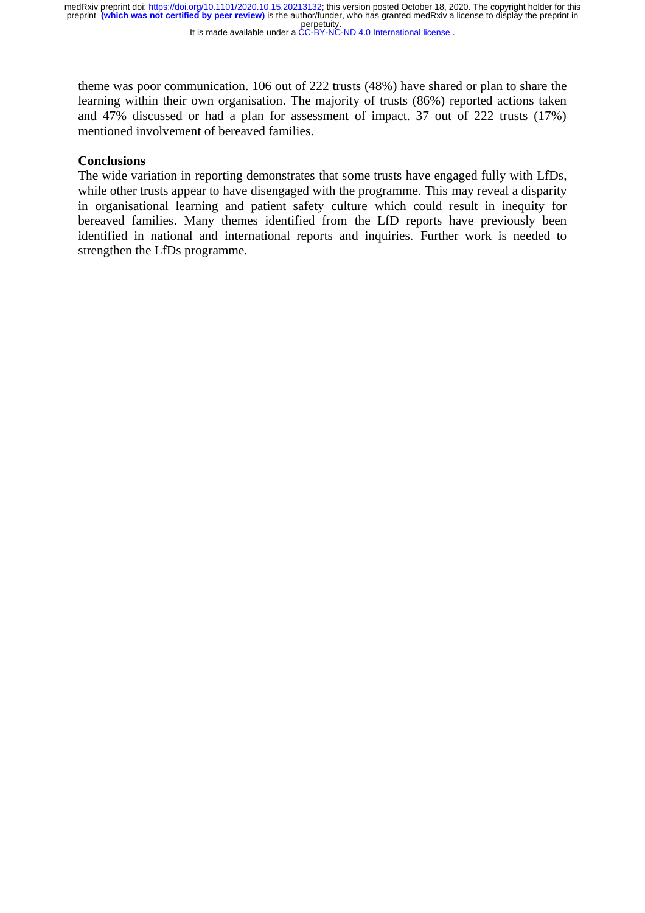It is made available under a CC-BY-NC-ND 4.0 International license.

theme was poor communication. 106 out of 222 trusts (48%) have shared or plan to share the learning within their own organisation. The majority of trusts (86%) reported actions taken and 47% discussed or had a plan for assessment of impact. 37 out of 222 trusts (17%) mentioned involvement of bereaved families.

### **Conclusions**

The wide variation in reporting demonstrates that some trusts have engaged fully with LfDs, while other trusts appear to have disengaged with the programme. This may reveal a disparity in organisational learning and patient safety culture which could result in inequity for bereaved families. Many themes identified from the LfD reports have previously been identified in national and international reports and inquiries. Further work is needed to strengthen the LfDs programme.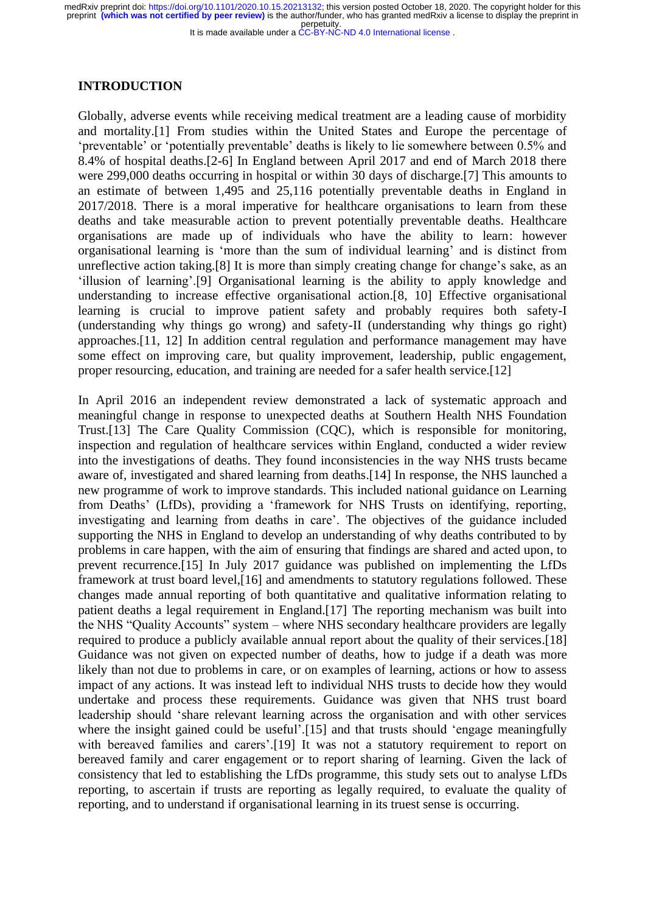It is made available under a CC-BY-NC-ND 4.0 International license.

### **INTRODUCTION**

Globally, adverse events while receiving medical treatment are a leading cause of morbidity and mortality.[1] From studies within the United States and Europe the percentage of 'preventable' or 'potentially preventable' deaths is likely to lie somewhere between 0.5% and 8.4% of hospital deaths.[2-6] In England between April 2017 and end of March 2018 there were 299,000 deaths occurring in hospital or within 30 days of discharge.[7] This amounts to an estimate of between 1,495 and 25,116 potentially preventable deaths in England in 2017/2018. There is a moral imperative for healthcare organisations to learn from these deaths and take measurable action to prevent potentially preventable deaths. Healthcare organisations are made up of individuals who have the ability to learn: however organisational learning is 'more than the sum of individual learning' and is distinct from unreflective action taking.[8] It is more than simply creating change for change's sake, as an 'illusion of learning'.[9] Organisational learning is the ability to apply knowledge and understanding to increase effective organisational action.[8, 10] Effective organisational learning is crucial to improve patient safety and probably requires both safety-I (understanding why things go wrong) and safety-II (understanding why things go right) approaches.[11, 12] In addition central regulation and performance management may have some effect on improving care, but quality improvement, leadership, public engagement, proper resourcing, education, and training are needed for a safer health service.[12]

In April 2016 an independent review demonstrated a lack of systematic approach and meaningful change in response to unexpected deaths at Southern Health NHS Foundation Trust.[13] The Care Quality Commission (CQC), which is responsible for monitoring, inspection and regulation of healthcare services within England, conducted a wider review into the investigations of deaths. They found inconsistencies in the way NHS trusts became aware of, investigated and shared learning from deaths.[14] In response, the NHS launched a new programme of work to improve standards. This included national guidance on Learning from Deaths' (LfDs), providing a 'framework for NHS Trusts on identifying, reporting, investigating and learning from deaths in care'. The objectives of the guidance included supporting the NHS in England to develop an understanding of why deaths contributed to by problems in care happen, with the aim of ensuring that findings are shared and acted upon, to prevent recurrence.[15] In July 2017 guidance was published on implementing the LfDs framework at trust board level,[16] and amendments to statutory regulations followed. These changes made annual reporting of both quantitative and qualitative information relating to patient deaths a legal requirement in England.[17] The reporting mechanism was built into the NHS "Quality Accounts" system – where NHS secondary healthcare providers are legally required to produce a publicly available annual report about the quality of their services.[18] Guidance was not given on expected number of deaths, how to judge if a death was more likely than not due to problems in care, or on examples of learning, actions or how to assess impact of any actions. It was instead left to individual NHS trusts to decide how they would undertake and process these requirements. Guidance was given that NHS trust board leadership should 'share relevant learning across the organisation and with other services where the insight gained could be useful'.<sup>[15]</sup> and that trusts should 'engage meaningfully with bereaved families and carers'.<sup>[19]</sup> It was not a statutory requirement to report on bereaved family and carer engagement or to report sharing of learning. Given the lack of consistency that led to establishing the LfDs programme, this study sets out to analyse LfDs reporting, to ascertain if trusts are reporting as legally required, to evaluate the quality of reporting, and to understand if organisational learning in its truest sense is occurring.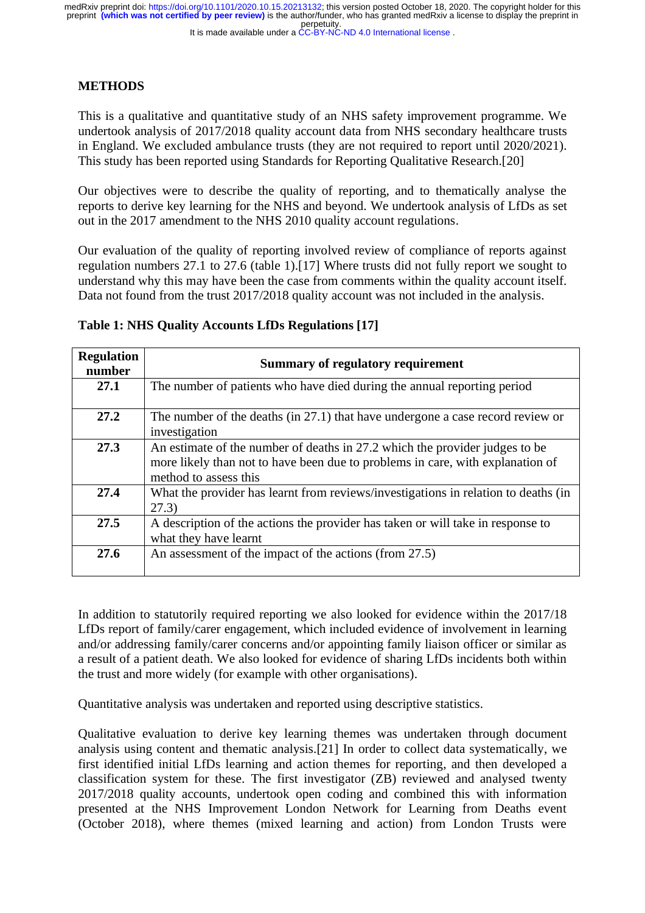It is made available under a CC-BY-NC-ND 4.0 International license.

### **METHODS**

This is a qualitative and quantitative study of an NHS safety improvement programme. We undertook analysis of 2017/2018 quality account data from NHS secondary healthcare trusts in England. We excluded ambulance trusts (they are not required to report until 2020/2021). This study has been reported using Standards for Reporting Qualitative Research.[20]

Our objectives were to describe the quality of reporting, and to thematically analyse the reports to derive key learning for the NHS and beyond. We undertook analysis of LfDs as set out in the 2017 amendment to the NHS 2010 quality account regulations.

Our evaluation of the quality of reporting involved review of compliance of reports against regulation numbers 27.1 to 27.6 (table 1).[17] Where trusts did not fully report we sought to understand why this may have been the case from comments within the quality account itself. Data not found from the trust 2017/2018 quality account was not included in the analysis.

| <b>Regulation</b><br>number | <b>Summary of regulatory requirement</b>                                                                                                                                               |
|-----------------------------|----------------------------------------------------------------------------------------------------------------------------------------------------------------------------------------|
| 27.1                        | The number of patients who have died during the annual reporting period                                                                                                                |
| 27.2                        | The number of the deaths (in 27.1) that have undergone a case record review or<br>investigation                                                                                        |
| 27.3                        | An estimate of the number of deaths in 27.2 which the provider judges to be<br>more likely than not to have been due to problems in care, with explanation of<br>method to assess this |
| 27.4                        | What the provider has learnt from reviews/investigations in relation to deaths (in<br>(27.3)                                                                                           |
| 27.5                        | A description of the actions the provider has taken or will take in response to<br>what they have learnt                                                                               |
| 27.6                        | An assessment of the impact of the actions (from 27.5)                                                                                                                                 |

### **Table 1: NHS Quality Accounts LfDs Regulations [17]**

In addition to statutorily required reporting we also looked for evidence within the 2017/18 LfDs report of family/carer engagement, which included evidence of involvement in learning and/or addressing family/carer concerns and/or appointing family liaison officer or similar as a result of a patient death. We also looked for evidence of sharing LfDs incidents both within the trust and more widely (for example with other organisations).

Quantitative analysis was undertaken and reported using descriptive statistics.

Qualitative evaluation to derive key learning themes was undertaken through document analysis using content and thematic analysis.[21] In order to collect data systematically, we first identified initial LfDs learning and action themes for reporting, and then developed a classification system for these. The first investigator (ZB) reviewed and analysed twenty 2017/2018 quality accounts, undertook open coding and combined this with information presented at the NHS Improvement London Network for Learning from Deaths event (October 2018), where themes (mixed learning and action) from London Trusts were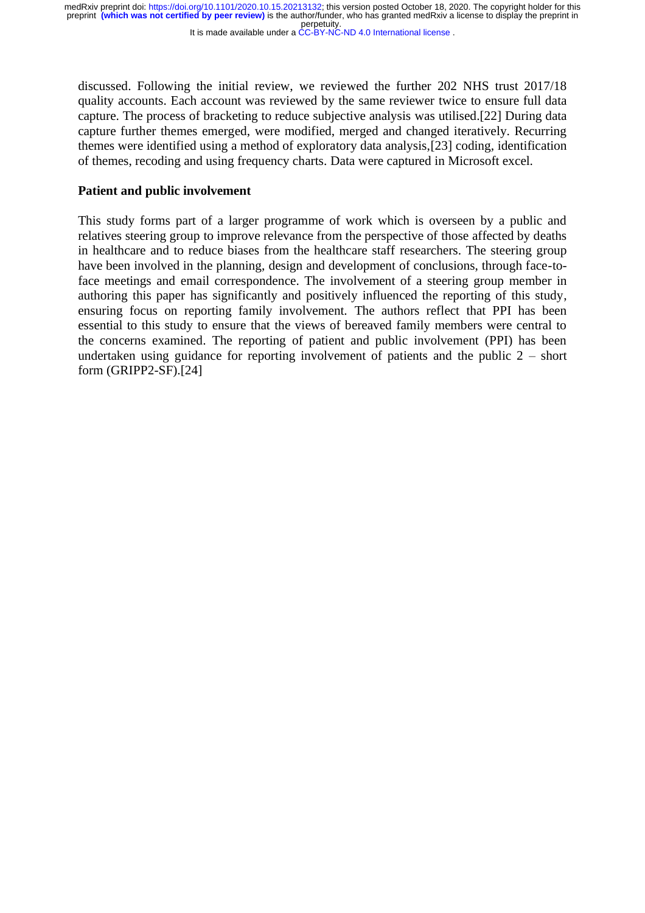It is made available under a CC-BY-NC-ND 4.0 International license.

discussed. Following the initial review, we reviewed the further 202 NHS trust 2017/18 quality accounts. Each account was reviewed by the same reviewer twice to ensure full data capture. The process of bracketing to reduce subjective analysis was utilised.[22] During data capture further themes emerged, were modified, merged and changed iteratively. Recurring themes were identified using a method of exploratory data analysis,[23] coding, identification of themes, recoding and using frequency charts. Data were captured in Microsoft excel.

### **Patient and public involvement**

This study forms part of a larger programme of work which is overseen by a public and relatives steering group to improve relevance from the perspective of those affected by deaths in healthcare and to reduce biases from the healthcare staff researchers. The steering group have been involved in the planning, design and development of conclusions, through face-toface meetings and email correspondence. The involvement of a steering group member in authoring this paper has significantly and positively influenced the reporting of this study, ensuring focus on reporting family involvement. The authors reflect that PPI has been essential to this study to ensure that the views of bereaved family members were central to the concerns examined. The reporting of patient and public involvement (PPI) has been undertaken using guidance for reporting involvement of patients and the public 2 – short form (GRIPP2-SF).[24]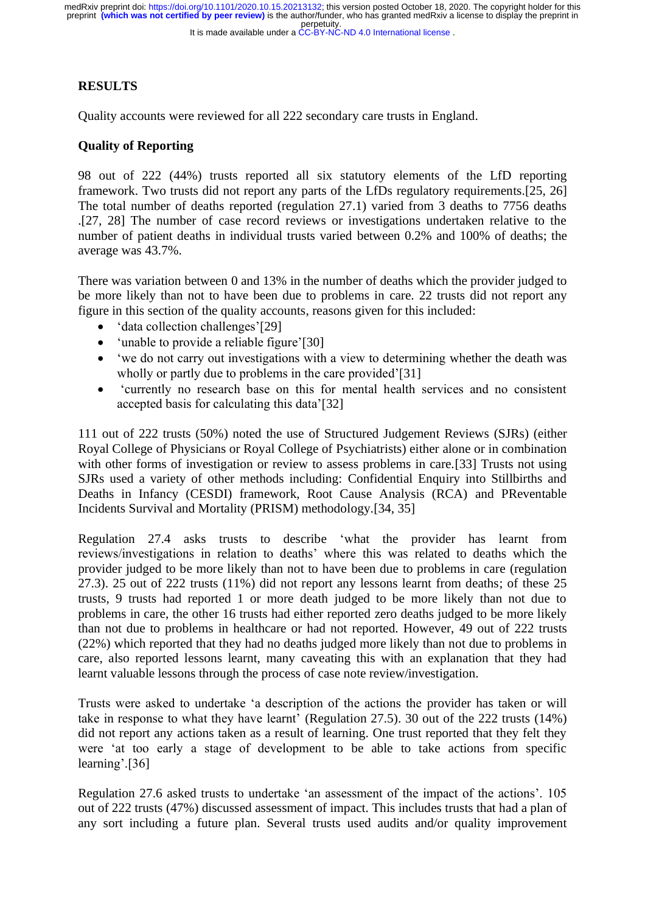### It is made available under a CC-BY-NC-ND 4.0 International license.

## **RESULTS**

Quality accounts were reviewed for all 222 secondary care trusts in England.

### **Quality of Reporting**

98 out of 222 (44%) trusts reported all six statutory elements of the LfD reporting framework. Two trusts did not report any parts of the LfDs regulatory requirements.[25, 26] The total number of deaths reported (regulation 27.1) varied from 3 deaths to 7756 deaths .[27, 28] The number of case record reviews or investigations undertaken relative to the number of patient deaths in individual trusts varied between 0.2% and 100% of deaths; the average was 43.7%.

There was variation between 0 and 13% in the number of deaths which the provider judged to be more likely than not to have been due to problems in care. 22 trusts did not report any figure in this section of the quality accounts, reasons given for this included:

- 'data collection challenges'[29]
- 'unable to provide a reliable figure'[30]
- 'we do not carry out investigations with a view to determining whether the death was wholly or partly due to problems in the care provided'[31]
- 'currently no research base on this for mental health services and no consistent accepted basis for calculating this data'[32]

111 out of 222 trusts (50%) noted the use of Structured Judgement Reviews (SJRs) (either Royal College of Physicians or Royal College of Psychiatrists) either alone or in combination with other forms of investigation or review to assess problems in care.[33] Trusts not using SJRs used a variety of other methods including: Confidential Enquiry into Stillbirths and Deaths in Infancy (CESDI) framework, Root Cause Analysis (RCA) and PReventable Incidents Survival and Mortality (PRISM) methodology.[34, 35]

Regulation 27.4 asks trusts to describe 'what the provider has learnt from reviews/investigations in relation to deaths' where this was related to deaths which the provider judged to be more likely than not to have been due to problems in care (regulation 27.3). 25 out of 222 trusts (11%) did not report any lessons learnt from deaths; of these 25 trusts, 9 trusts had reported 1 or more death judged to be more likely than not due to problems in care, the other 16 trusts had either reported zero deaths judged to be more likely than not due to problems in healthcare or had not reported. However, 49 out of 222 trusts (22%) which reported that they had no deaths judged more likely than not due to problems in care, also reported lessons learnt, many caveating this with an explanation that they had learnt valuable lessons through the process of case note review/investigation.

Trusts were asked to undertake 'a description of the actions the provider has taken or will take in response to what they have learnt' (Regulation 27.5). 30 out of the 222 trusts (14%) did not report any actions taken as a result of learning. One trust reported that they felt they were 'at too early a stage of development to be able to take actions from specific learning'.[36]

Regulation 27.6 asked trusts to undertake 'an assessment of the impact of the actions'. 105 out of 222 trusts (47%) discussed assessment of impact. This includes trusts that had a plan of any sort including a future plan. Several trusts used audits and/or quality improvement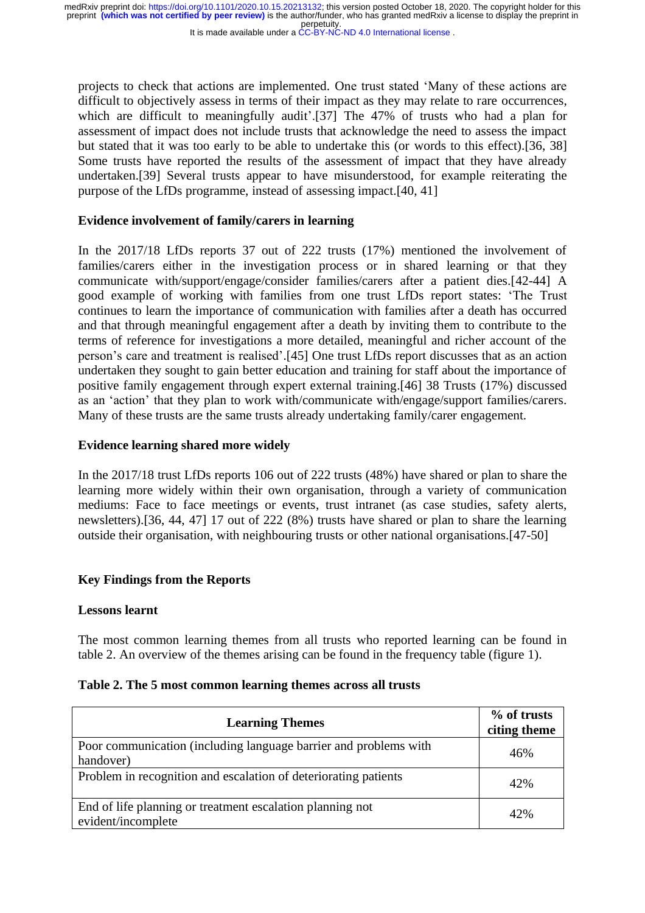It is made available under a CC-BY-NC-ND 4.0 International license.

projects to check that actions are implemented. One trust stated 'Many of these actions are difficult to objectively assess in terms of their impact as they may relate to rare occurrences, which are difficult to meaningfully audit'.<sup>[37]</sup> The 47% of trusts who had a plan for assessment of impact does not include trusts that acknowledge the need to assess the impact but stated that it was too early to be able to undertake this (or words to this effect).[36, 38] Some trusts have reported the results of the assessment of impact that they have already undertaken.[39] Several trusts appear to have misunderstood, for example reiterating the purpose of the LfDs programme, instead of assessing impact.[40, 41]

### **Evidence involvement of family/carers in learning**

In the 2017/18 LfDs reports 37 out of 222 trusts (17%) mentioned the involvement of families/carers either in the investigation process or in shared learning or that they communicate with/support/engage/consider families/carers after a patient dies.[42-44] A good example of working with families from one trust LfDs report states: 'The Trust continues to learn the importance of communication with families after a death has occurred and that through meaningful engagement after a death by inviting them to contribute to the terms of reference for investigations a more detailed, meaningful and richer account of the person's care and treatment is realised'.[45] One trust LfDs report discusses that as an action undertaken they sought to gain better education and training for staff about the importance of positive family engagement through expert external training.[46] 38 Trusts (17%) discussed as an 'action' that they plan to work with/communicate with/engage/support families/carers. Many of these trusts are the same trusts already undertaking family/carer engagement.

### **Evidence learning shared more widely**

In the 2017/18 trust LfDs reports 106 out of 222 trusts (48%) have shared or plan to share the learning more widely within their own organisation, through a variety of communication mediums: Face to face meetings or events, trust intranet (as case studies, safety alerts, newsletters).[36, 44, 47] 17 out of 222 (8%) trusts have shared or plan to share the learning outside their organisation, with neighbouring trusts or other national organisations.[47-50]

### **Key Findings from the Reports**

### **Lessons learnt**

The most common learning themes from all trusts who reported learning can be found in table 2. An overview of the themes arising can be found in the frequency table (figure 1).

| <b>Learning Themes</b> | % of trusts<br>citing theme |
|------------------------|-----------------------------|

### **Table 2. The 5 most common learning themes across all trusts**

| <b>Learning Themes</b>                                                          | citing theme |
|---------------------------------------------------------------------------------|--------------|
| Poor communication (including language barrier and problems with<br>handover)   | 46%          |
| Problem in recognition and escalation of deteriorating patients                 | 42%          |
| End of life planning or treatment escalation planning not<br>evident/incomplete | 42%          |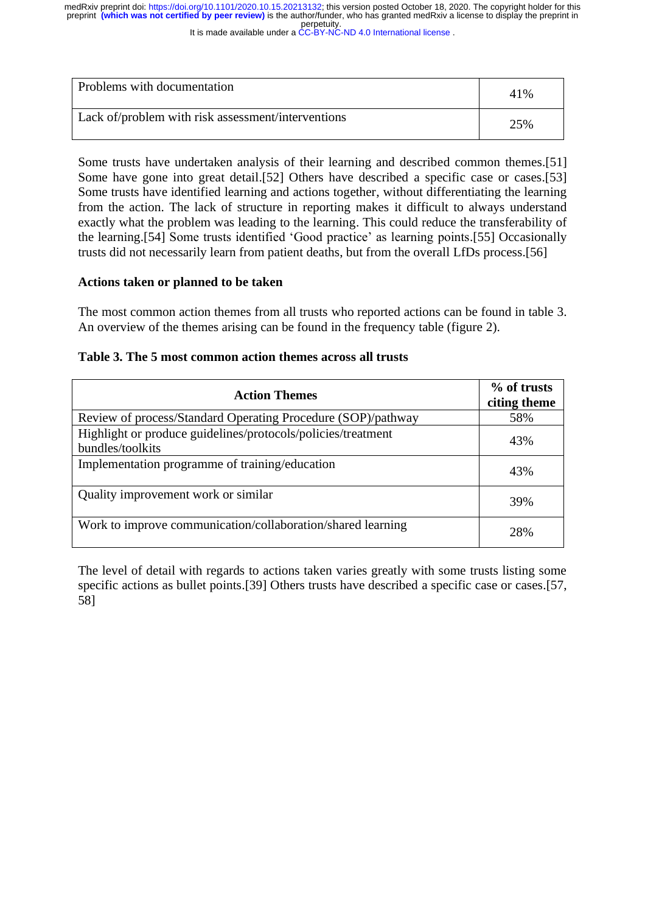It is made available under a CC-BY-NC-ND 4.0 International license.

| Problems with documentation                        | 41% |
|----------------------------------------------------|-----|
| Lack of/problem with risk assessment/interventions | 25% |

Some trusts have undertaken analysis of their learning and described common themes.[51] Some have gone into great detail.[52] Others have described a specific case or cases.[53] Some trusts have identified learning and actions together, without differentiating the learning from the action. The lack of structure in reporting makes it difficult to always understand exactly what the problem was leading to the learning. This could reduce the transferability of the learning.[54] Some trusts identified 'Good practice' as learning points.[55] Occasionally trusts did not necessarily learn from patient deaths, but from the overall LfDs process.[56]

### **Actions taken or planned to be taken**

The most common action themes from all trusts who reported actions can be found in table 3. An overview of the themes arising can be found in the frequency table (figure 2).

|  | Table 3. The 5 most common action themes across all trusts |  |
|--|------------------------------------------------------------|--|
|--|------------------------------------------------------------|--|

| <b>Action Themes</b>                                                             | % of trusts<br>citing theme |
|----------------------------------------------------------------------------------|-----------------------------|
| Review of process/Standard Operating Procedure (SOP)/pathway                     | 58%                         |
| Highlight or produce guidelines/protocols/policies/treatment<br>bundles/toolkits | 43%                         |
| Implementation programme of training/education                                   | 43%                         |
| Quality improvement work or similar                                              | 39%                         |
| Work to improve communication/collaboration/shared learning                      | 2.8%                        |

The level of detail with regards to actions taken varies greatly with some trusts listing some specific actions as bullet points.[39] Others trusts have described a specific case or cases.[57, 58]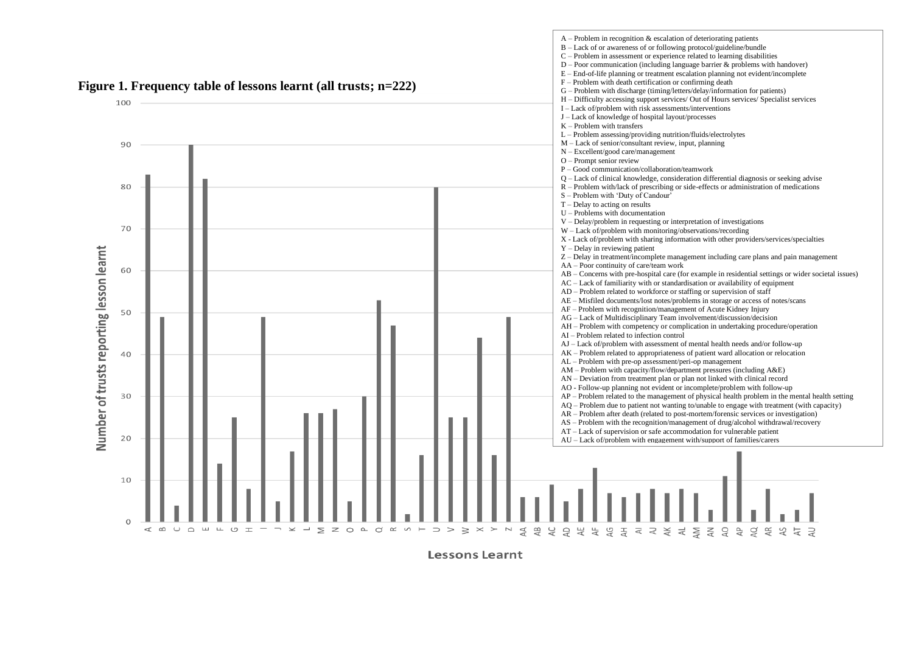

**Lessons Learnt**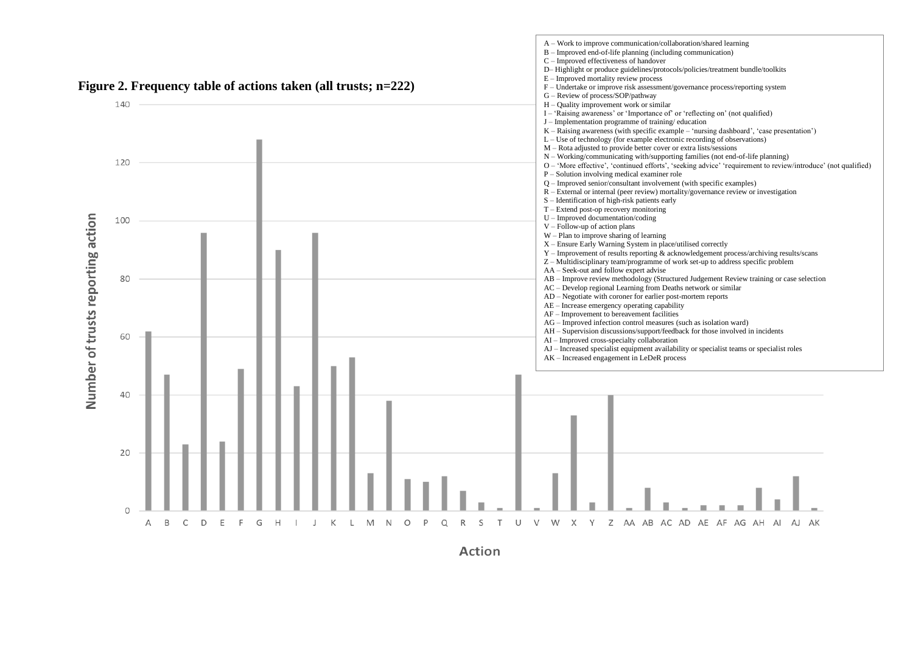

A – Work to improve communication/collaboration/shared learning B – Improved end-of-life planning (including communication)

**Action**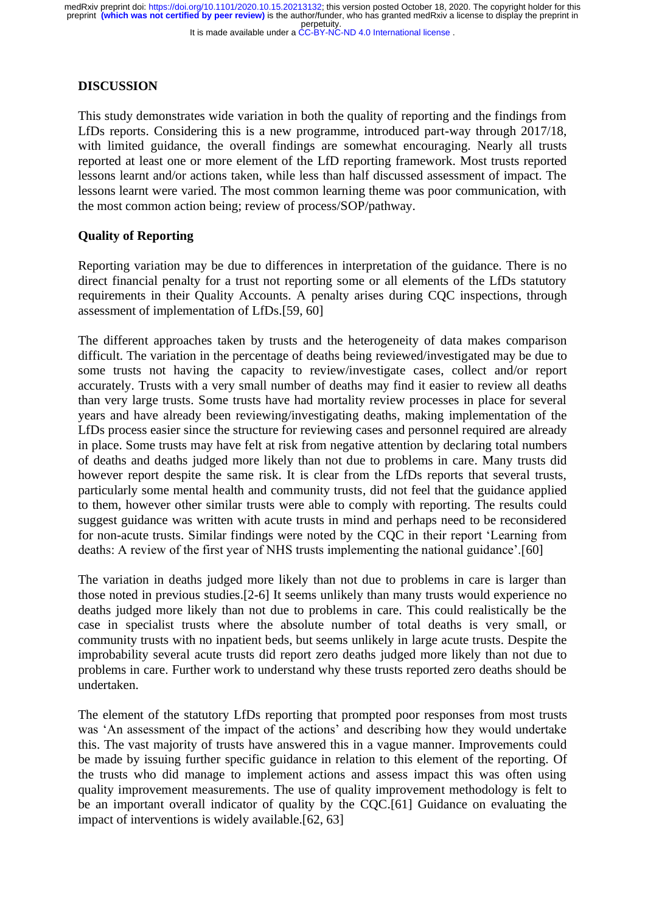### It is made available under a CC-BY-NC-ND 4.0 International license.

### **DISCUSSION**

This study demonstrates wide variation in both the quality of reporting and the findings from LfDs reports. Considering this is a new programme, introduced part-way through 2017/18, with limited guidance, the overall findings are somewhat encouraging. Nearly all trusts reported at least one or more element of the LfD reporting framework. Most trusts reported lessons learnt and/or actions taken, while less than half discussed assessment of impact. The lessons learnt were varied. The most common learning theme was poor communication, with the most common action being; review of process/SOP/pathway.

### **Quality of Reporting**

Reporting variation may be due to differences in interpretation of the guidance. There is no direct financial penalty for a trust not reporting some or all elements of the LfDs statutory requirements in their Quality Accounts. A penalty arises during CQC inspections, through assessment of implementation of LfDs.[59, 60]

The different approaches taken by trusts and the heterogeneity of data makes comparison difficult. The variation in the percentage of deaths being reviewed/investigated may be due to some trusts not having the capacity to review/investigate cases, collect and/or report accurately. Trusts with a very small number of deaths may find it easier to review all deaths than very large trusts. Some trusts have had mortality review processes in place for several years and have already been reviewing/investigating deaths, making implementation of the LfDs process easier since the structure for reviewing cases and personnel required are already in place. Some trusts may have felt at risk from negative attention by declaring total numbers of deaths and deaths judged more likely than not due to problems in care. Many trusts did however report despite the same risk. It is clear from the LfDs reports that several trusts, particularly some mental health and community trusts, did not feel that the guidance applied to them, however other similar trusts were able to comply with reporting. The results could suggest guidance was written with acute trusts in mind and perhaps need to be reconsidered for non-acute trusts. Similar findings were noted by the CQC in their report 'Learning from deaths: A review of the first year of NHS trusts implementing the national guidance'.[60]

The variation in deaths judged more likely than not due to problems in care is larger than those noted in previous studies.[2-6] It seems unlikely than many trusts would experience no deaths judged more likely than not due to problems in care. This could realistically be the case in specialist trusts where the absolute number of total deaths is very small, or community trusts with no inpatient beds, but seems unlikely in large acute trusts. Despite the improbability several acute trusts did report zero deaths judged more likely than not due to problems in care. Further work to understand why these trusts reported zero deaths should be undertaken.

The element of the statutory LfDs reporting that prompted poor responses from most trusts was 'An assessment of the impact of the actions' and describing how they would undertake this. The vast majority of trusts have answered this in a vague manner. Improvements could be made by issuing further specific guidance in relation to this element of the reporting. Of the trusts who did manage to implement actions and assess impact this was often using quality improvement measurements. The use of quality improvement methodology is felt to be an important overall indicator of quality by the CQC.[61] Guidance on evaluating the impact of interventions is widely available.[62, 63]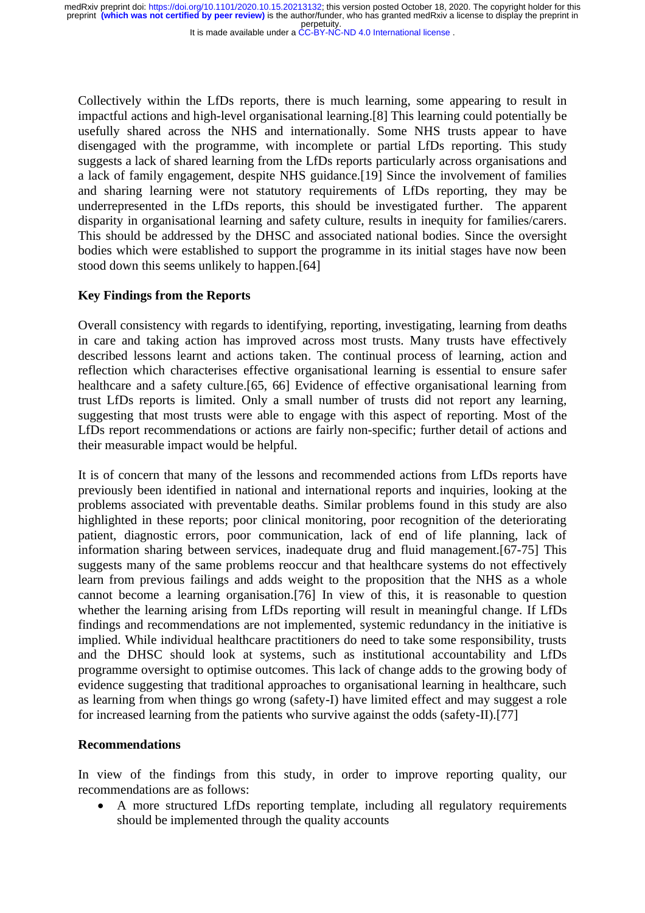It is made available under a CC-BY-NC-ND 4.0 International license.

Collectively within the LfDs reports, there is much learning, some appearing to result in impactful actions and high-level organisational learning.[8] This learning could potentially be usefully shared across the NHS and internationally. Some NHS trusts appear to have disengaged with the programme, with incomplete or partial LfDs reporting. This study suggests a lack of shared learning from the LfDs reports particularly across organisations and a lack of family engagement, despite NHS guidance.[19] Since the involvement of families and sharing learning were not statutory requirements of LfDs reporting, they may be underrepresented in the LfDs reports, this should be investigated further. The apparent disparity in organisational learning and safety culture, results in inequity for families/carers. This should be addressed by the DHSC and associated national bodies. Since the oversight bodies which were established to support the programme in its initial stages have now been stood down this seems unlikely to happen.[64]

### **Key Findings from the Reports**

Overall consistency with regards to identifying, reporting, investigating, learning from deaths in care and taking action has improved across most trusts. Many trusts have effectively described lessons learnt and actions taken. The continual process of learning, action and reflection which characterises effective organisational learning is essential to ensure safer healthcare and a safety culture.[65, 66] Evidence of effective organisational learning from trust LfDs reports is limited. Only a small number of trusts did not report any learning, suggesting that most trusts were able to engage with this aspect of reporting. Most of the LfDs report recommendations or actions are fairly non-specific; further detail of actions and their measurable impact would be helpful.

It is of concern that many of the lessons and recommended actions from LfDs reports have previously been identified in national and international reports and inquiries, looking at the problems associated with preventable deaths. Similar problems found in this study are also highlighted in these reports; poor clinical monitoring, poor recognition of the deteriorating patient, diagnostic errors, poor communication, lack of end of life planning, lack of information sharing between services, inadequate drug and fluid management.[67-75] This suggests many of the same problems reoccur and that healthcare systems do not effectively learn from previous failings and adds weight to the proposition that the NHS as a whole cannot become a learning organisation.[76] In view of this, it is reasonable to question whether the learning arising from LfDs reporting will result in meaningful change. If LfDs findings and recommendations are not implemented, systemic redundancy in the initiative is implied. While individual healthcare practitioners do need to take some responsibility, trusts and the DHSC should look at systems, such as institutional accountability and LfDs programme oversight to optimise outcomes. This lack of change adds to the growing body of evidence suggesting that traditional approaches to organisational learning in healthcare, such as learning from when things go wrong (safety-I) have limited effect and may suggest a role for increased learning from the patients who survive against the odds (safety-II).[77]

### **Recommendations**

In view of the findings from this study, in order to improve reporting quality, our recommendations are as follows:

• A more structured LfDs reporting template, including all regulatory requirements should be implemented through the quality accounts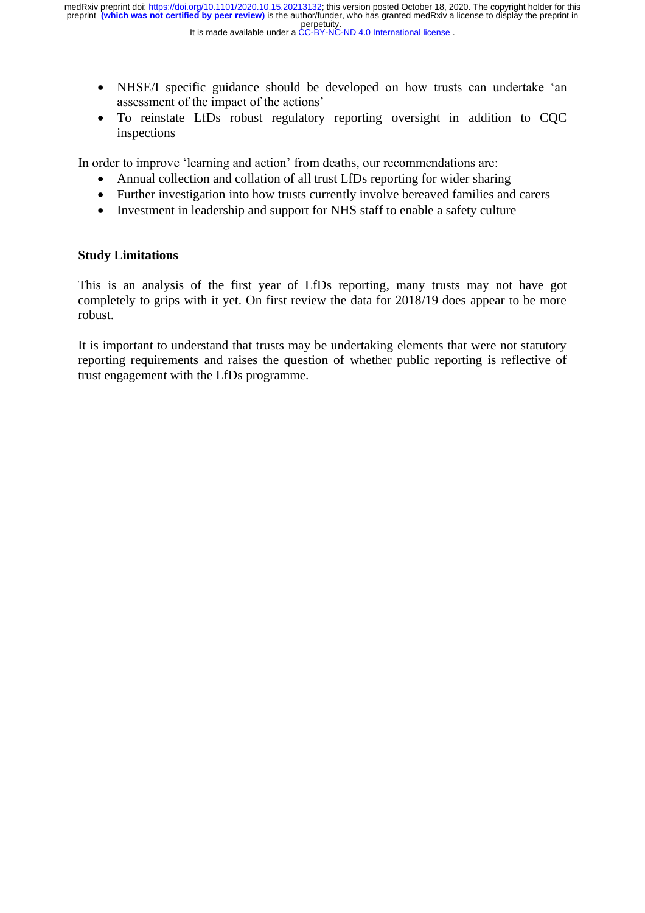- NHSE/I specific guidance should be developed on how trusts can undertake 'an assessment of the impact of the actions'
- To reinstate LfDs robust regulatory reporting oversight in addition to CQC inspections

In order to improve 'learning and action' from deaths, our recommendations are:

- Annual collection and collation of all trust LfDs reporting for wider sharing
- Further investigation into how trusts currently involve bereaved families and carers
- Investment in leadership and support for NHS staff to enable a safety culture

## **Study Limitations**

This is an analysis of the first year of LfDs reporting, many trusts may not have got completely to grips with it yet. On first review the data for 2018/19 does appear to be more robust.

It is important to understand that trusts may be undertaking elements that were not statutory reporting requirements and raises the question of whether public reporting is reflective of trust engagement with the LfDs programme.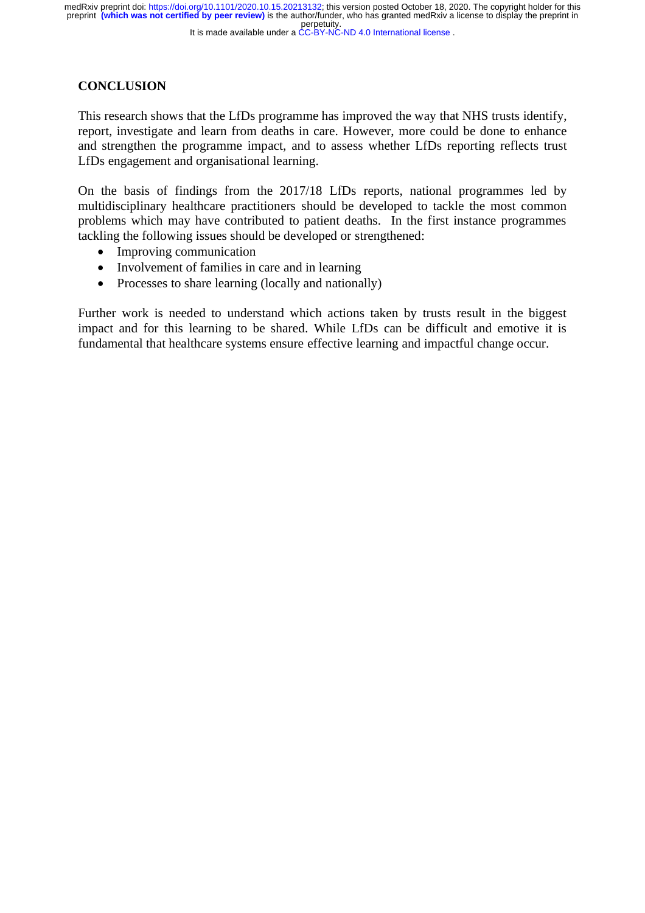### It is made available under a CC-BY-NC-ND 4.0 International license.

## **CONCLUSION**

This research shows that the LfDs programme has improved the way that NHS trusts identify, report, investigate and learn from deaths in care. However, more could be done to enhance and strengthen the programme impact, and to assess whether LfDs reporting reflects trust LfDs engagement and organisational learning.

On the basis of findings from the 2017/18 LfDs reports, national programmes led by multidisciplinary healthcare practitioners should be developed to tackle the most common problems which may have contributed to patient deaths. In the first instance programmes tackling the following issues should be developed or strengthened:

- Improving communication
- Involvement of families in care and in learning
- Processes to share learning (locally and nationally)

Further work is needed to understand which actions taken by trusts result in the biggest impact and for this learning to be shared. While LfDs can be difficult and emotive it is fundamental that healthcare systems ensure effective learning and impactful change occur.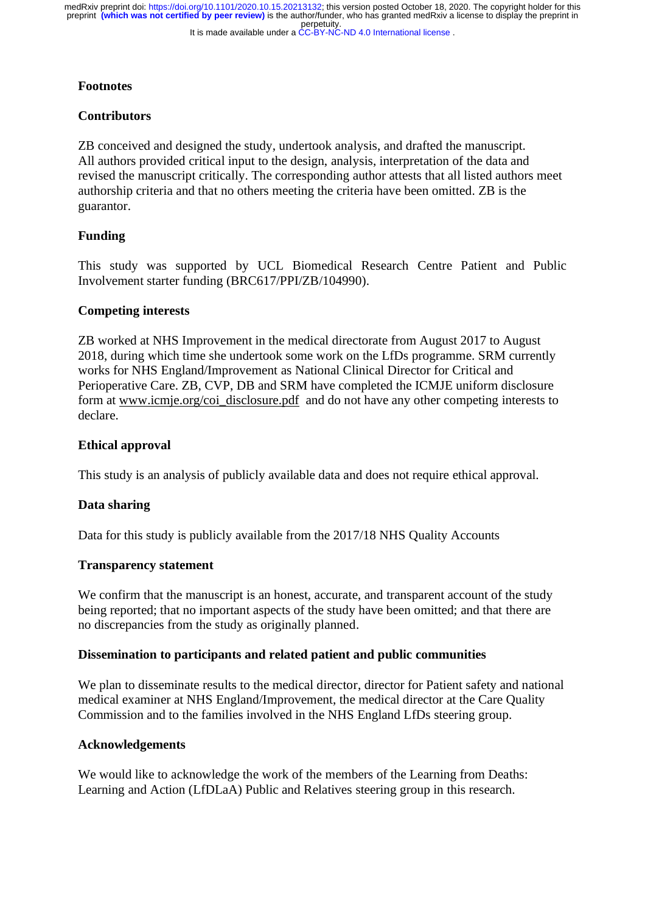It is made available under a CC-BY-NC-ND 4.0 International license. perpetuity. preprint **(which was not certified by peer review)** is the author/funder, who has granted medRxiv a license to display the preprint in medRxiv preprint doi: [https://doi.org/10.1101/2020.10.15.20213132;](https://doi.org/10.1101/2020.10.15.20213132) this version posted October 18, 2020. The copyright holder for this

## **Footnotes**

### **Contributors**

ZB conceived and designed the study, undertook analysis, and drafted the manuscript. All authors provided critical input to the design, analysis, interpretation of the data and revised the manuscript critically. The corresponding author attests that all listed authors meet authorship criteria and that no others meeting the criteria have been omitted. ZB is the guarantor.

## **Funding**

This study was supported by UCL Biomedical Research Centre Patient and Public Involvement starter funding (BRC617/PPI/ZB/104990).

### **Competing interests**

ZB worked at NHS Improvement in the medical directorate from August 2017 to August 2018, during which time she undertook some work on the LfDs programme. SRM currently works for NHS England/Improvement as National Clinical Director for Critical and Perioperative Care. ZB, CVP, DB and SRM have completed the ICMJE uniform disclosure form at [www.icmje.org/coi\\_disclosure.pdf](http://www.icmje.org/coi_disclosure.pdf) and do not have any other competing interests to declare.

### **Ethical approval**

This study is an analysis of publicly available data and does not require ethical approval.

### **Data sharing**

Data for this study is publicly available from the 2017/18 NHS Quality Accounts

### **Transparency statement**

We confirm that the manuscript is an honest, accurate, and transparent account of the study being reported; that no important aspects of the study have been omitted; and that there are no discrepancies from the study as originally planned.

### **Dissemination to participants and related patient and public communities**

We plan to disseminate results to the medical director, director for Patient safety and national medical examiner at NHS England/Improvement, the medical director at the Care Quality Commission and to the families involved in the NHS England LfDs steering group.

### **Acknowledgements**

We would like to acknowledge the work of the members of the Learning from Deaths: Learning and Action (LfDLaA) Public and Relatives steering group in this research.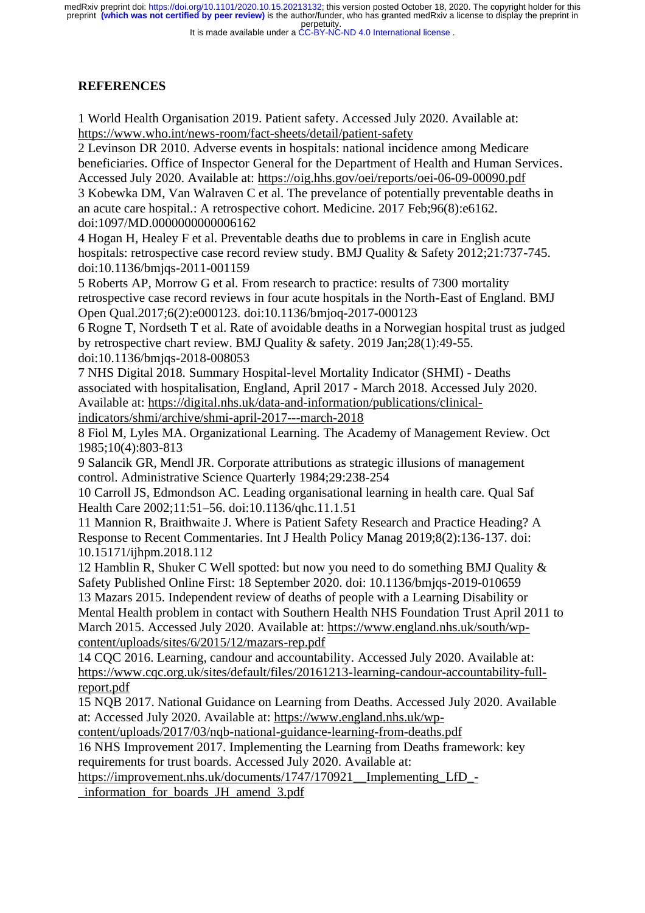It is made available under a CC-BY-NC-ND 4.0 International license.

## **REFERENCES**

1 World Health Organisation 2019. Patient safety. Accessed July 2020. Available at: <https://www.who.int/news-room/fact-sheets/detail/patient-safety>

2 Levinson DR 2010. Adverse events in hospitals: national incidence among Medicare beneficiaries. Office of Inspector General for the Department of Health and Human Services. Accessed July 2020. Available at:<https://oig.hhs.gov/oei/reports/oei-06-09-00090.pdf>

3 Kobewka DM, Van Walraven C et al. The prevelance of potentially preventable deaths in an acute care hospital.: A retrospective cohort. Medicine. 2017 Feb;96(8):e6162. doi:1097/MD.0000000000006162

4 Hogan H, Healey F et al. Preventable deaths due to problems in care in English acute hospitals: retrospective case record review study. BMJ Quality & Safety 2012;21:737-745. doi:10.1136/bmjqs-2011-001159

5 Roberts AP, Morrow G et al. From research to practice: results of 7300 mortality retrospective case record reviews in four acute hospitals in the North-East of England. BMJ Open Qual.2017;6(2):e000123. doi:10.1136/bmjoq-2017-000123

6 Rogne T, Nordseth T et al. Rate of avoidable deaths in a Norwegian hospital trust as judged by retrospective chart review. BMJ Quality & safety. 2019 Jan;28(1):49-55.

doi:10.1136/bmjqs-2018-008053

7 NHS Digital 2018. Summary Hospital-level Mortality Indicator (SHMI) - Deaths associated with hospitalisation, England, April 2017 - March 2018. Accessed July 2020. Available at: [https://digital.nhs.uk/data-and-information/publications/clinical](https://digital.nhs.uk/data-and-information/publications/clinical-indicators/shmi/archive/shmi-april-2017---march-2018)[indicators/shmi/archive/shmi-april-2017---march-2018](https://digital.nhs.uk/data-and-information/publications/clinical-indicators/shmi/archive/shmi-april-2017---march-2018)

8 Fiol M, Lyles MA. Organizational Learning. The Academy of Management Review. Oct 1985;10(4):803-813

9 Salancik GR, Mendl JR. Corporate attributions as strategic illusions of management control. Administrative Science Quarterly 1984;29:238-254

10 Carroll JS, Edmondson AC. Leading organisational learning in health care. Qual Saf Health Care 2002;11:51–56. doi:10.1136/qhc.11.1.51

11 Mannion R, Braithwaite J. Where is Patient Safety Research and Practice Heading? A Response to Recent Commentaries. Int J Health Policy Manag 2019;8(2):136-137. doi: 10.15171/ijhpm.2018.112

12 Hamblin R, Shuker C Well spotted: but now you need to do something BMJ Quality & Safety Published Online First: 18 September 2020. doi: 10.1136/bmjqs-2019-010659 13 Mazars 2015. Independent review of deaths of people with a Learning Disability or Mental Health problem in contact with Southern Health NHS Foundation Trust April 2011 to March 2015. Accessed July 2020. Available at: [https://www.england.nhs.uk/south/wp](https://www.england.nhs.uk/south/wp-content/uploads/sites/6/2015/12/mazars-rep.pdf)[content/uploads/sites/6/2015/12/mazars-rep.pdf](https://www.england.nhs.uk/south/wp-content/uploads/sites/6/2015/12/mazars-rep.pdf)

14 CQC 2016. Learning, candour and accountability. Accessed July 2020. Available at: [https://www.cqc.org.uk/sites/default/files/20161213-learning-candour-accountability-full](https://www.cqc.org.uk/sites/default/files/20161213-learning-candour-accountability-full-report.pdf)[report.pdf](https://www.cqc.org.uk/sites/default/files/20161213-learning-candour-accountability-full-report.pdf)

15 NQB 2017. National Guidance on Learning from Deaths. Accessed July 2020. Available at: Accessed July 2020. Available at: [https://www.england.nhs.uk/wp-](https://www.england.nhs.uk/wp-content/uploads/2017/03/nqb-national-guidance-learning-from-deaths.pdf)

[content/uploads/2017/03/nqb-national-guidance-learning-from-deaths.pdf](https://www.england.nhs.uk/wp-content/uploads/2017/03/nqb-national-guidance-learning-from-deaths.pdf)

16 NHS Improvement 2017. Implementing the Learning from Deaths framework: key requirements for trust boards. Accessed July 2020. Available at:

https://improvement.nhs.uk/documents/1747/170921\_Implementing\_LfD\_-

[\\_information\\_for\\_boards\\_JH\\_amend\\_3.pdf](https://improvement.nhs.uk/documents/1747/170921__Implementing_LfD_-_information_for_boards_JH_amend_3.pdf)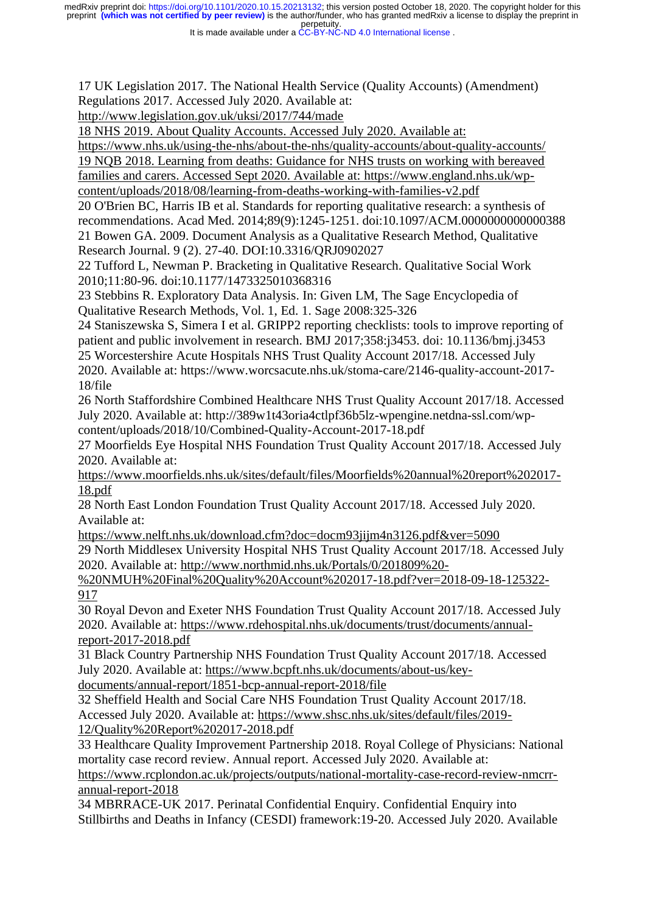It is made available under a CC-BY-NC-ND 4.0 International license.

17 UK Legislation 2017. The National Health Service (Quality Accounts) (Amendment) Regulations 2017. Accessed July 2020. Available at:

<http://www.legislation.gov.uk/uksi/2017/744/made>

18 NHS 2019. About Quality Accounts. Accessed July 2020. Available at:

<https://www.nhs.uk/using-the-nhs/about-the-nhs/quality-accounts/about-quality-accounts/> 19 NQB 2018. Learning from deaths: Guidance for NHS trusts on working with bereaved families and carers. Accessed Sept 2020. Available at: https://www.england.nhs.uk/wpcontent/uploads/2018/08/learning-from-deaths-working-with-families-v2.pdf

20 O'Brien BC, Harris IB et al. Standards for reporting qualitative research: a synthesis of recommendations. Acad Med. 2014;89(9):1245-1251. doi:10.1097/ACM.0000000000000388

21 Bowen GA. 2009. Document Analysis as a Qualitative Research Method, Qualitative Research Journal. 9 (2). 27-40. DOI:10.3316/QRJ0902027

22 Tufford L, Newman P. Bracketing in Qualitative Research. Qualitative Social Work 2010;11:80-96. doi:10.1177/1473325010368316

23 Stebbins R. Exploratory Data Analysis. In: Given LM, The Sage Encyclopedia of Qualitative Research Methods, Vol. 1, Ed. 1. Sage 2008:325-326

24 Staniszewska S, Simera I et al. GRIPP2 reporting checklists: tools to improve reporting of patient and public involvement in research. BMJ 2017;358:j3453. doi: 10.1136/bmj.j3453 25 Worcestershire Acute Hospitals NHS Trust Quality Account 2017/18. Accessed July 2020. Available at: https://www.worcsacute.nhs.uk/stoma-care/2146-quality-account-2017- 18/file

26 North Staffordshire Combined Healthcare NHS Trust Quality Account 2017/18. Accessed July 2020. Available at: http://389w1t43oria4ctlpf36b5lz-wpengine.netdna-ssl.com/wpcontent/uploads/2018/10/Combined-Quality-Account-2017-18.pdf

27 Moorfields Eye Hospital NHS Foundation Trust Quality Account 2017/18. Accessed July 2020. Available at:

[https://www.moorfields.nhs.uk/sites/default/files/Moorfields%20annual%20report%202017-](https://www.moorfields.nhs.uk/sites/default/files/Moorfields%20annual%20report%202017-18.pdf) [18.pdf](https://www.moorfields.nhs.uk/sites/default/files/Moorfields%20annual%20report%202017-18.pdf)

28 North East London Foundation Trust Quality Account 2017/18. Accessed July 2020. Available at:

<https://www.nelft.nhs.uk/download.cfm?doc=docm93jijm4n3126.pdf&ver=5090>

29 North Middlesex University Hospital NHS Trust Quality Account 2017/18. Accessed July 2020. Available at: [http://www.northmid.nhs.uk/Portals/0/201809%20-](http://www.northmid.nhs.uk/Portals/0/201809%20-%20NMUH%20Final%20Quality%20Account%202017-18.pdf?ver=2018-09-18-125322-917)

[%20NMUH%20Final%20Quality%20Account%202017-18.pdf?ver=2018-09-18-125322-](http://www.northmid.nhs.uk/Portals/0/201809%20-%20NMUH%20Final%20Quality%20Account%202017-18.pdf?ver=2018-09-18-125322-917) [917](http://www.northmid.nhs.uk/Portals/0/201809%20-%20NMUH%20Final%20Quality%20Account%202017-18.pdf?ver=2018-09-18-125322-917)

30 Royal Devon and Exeter NHS Foundation Trust Quality Account 2017/18. Accessed July 2020. Available at: [https://www.rdehospital.nhs.uk/documents/trust/documents/annual](https://www.rdehospital.nhs.uk/documents/trust/documents/annual-report-2017-2018.pdf)[report-2017-2018.pdf](https://www.rdehospital.nhs.uk/documents/trust/documents/annual-report-2017-2018.pdf)

31 Black Country Partnership NHS Foundation Trust Quality Account 2017/18. Accessed July 2020. Available at: [https://www.bcpft.nhs.uk/documents/about-us/key-](https://www.bcpft.nhs.uk/documents/about-us/key-documents/annual-report/1851-bcp-annual-report-2018/file)

[documents/annual-report/1851-bcp-annual-report-2018/file](https://www.bcpft.nhs.uk/documents/about-us/key-documents/annual-report/1851-bcp-annual-report-2018/file)

32 Sheffield Health and Social Care NHS Foundation Trust Quality Account 2017/18. Accessed July 2020. Available at: [https://www.shsc.nhs.uk/sites/default/files/2019-](https://www.shsc.nhs.uk/sites/default/files/2019-12/Quality%20Report%202017-2018.pdf) [12/Quality%20Report%202017-2018.pdf](https://www.shsc.nhs.uk/sites/default/files/2019-12/Quality%20Report%202017-2018.pdf)

33 Healthcare Quality Improvement Partnership 2018. Royal College of Physicians: National mortality case record review. Annual report. Accessed July 2020. Available at: [https://www.rcplondon.ac.uk/projects/outputs/national-mortality-case-record-review-nmcrr](https://www.rcplondon.ac.uk/projects/outputs/national-mortality-case-record-review-nmcrr-annual-report-2018)[annual-report-2018](https://www.rcplondon.ac.uk/projects/outputs/national-mortality-case-record-review-nmcrr-annual-report-2018)

34 MBRRACE-UK 2017. Perinatal Confidential Enquiry. Confidential Enquiry into Stillbirths and Deaths in Infancy (CESDI) framework:19-20. Accessed July 2020. Available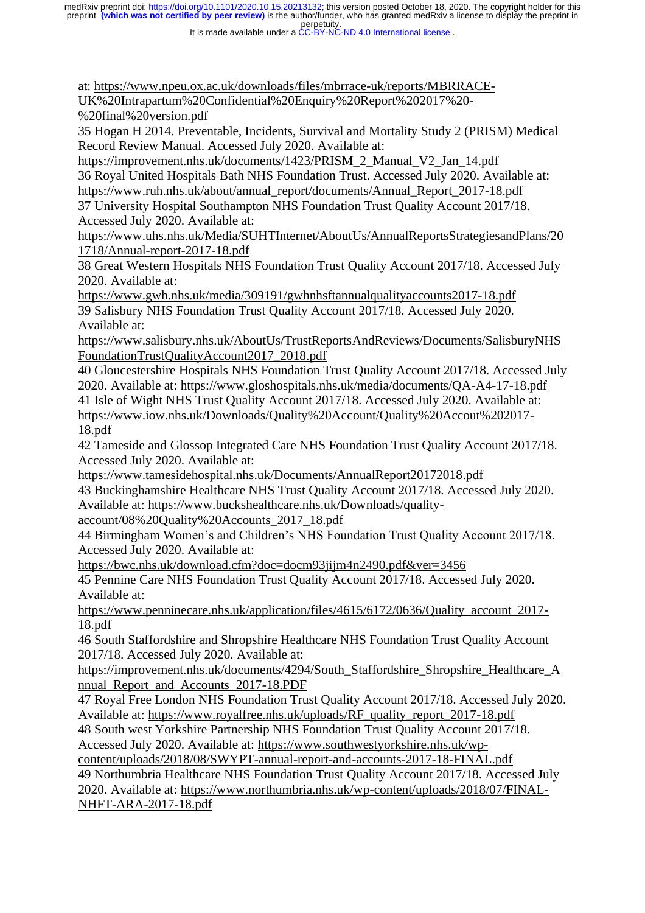It is made available under a CC-BY-NC-ND 4.0 International license.

at: [https://www.npeu.ox.ac.uk/downloads/files/mbrrace-uk/reports/MBRRACE-](https://www.npeu.ox.ac.uk/downloads/files/mbrrace-uk/reports/MBRRACE-UK%20Intrapartum%20Confidential%20Enquiry%20Report%202017%20-%20final%20version.pdf)

[UK%20Intrapartum%20Confidential%20Enquiry%20Report%202017%20-](https://www.npeu.ox.ac.uk/downloads/files/mbrrace-uk/reports/MBRRACE-UK%20Intrapartum%20Confidential%20Enquiry%20Report%202017%20-%20final%20version.pdf)

[%20final%20version.pdf](https://www.npeu.ox.ac.uk/downloads/files/mbrrace-uk/reports/MBRRACE-UK%20Intrapartum%20Confidential%20Enquiry%20Report%202017%20-%20final%20version.pdf)

35 Hogan H 2014. Preventable, Incidents, Survival and Mortality Study 2 (PRISM) Medical Record Review Manual. Accessed July 2020. Available at:

[https://improvement.nhs.uk/documents/1423/PRISM\\_2\\_Manual\\_V2\\_Jan\\_14.pdf](https://improvement.nhs.uk/documents/1423/PRISM_2_Manual_V2_Jan_14.pdf)

36 Royal United Hospitals Bath NHS Foundation Trust. Accessed July 2020. Available at:

[https://www.ruh.nhs.uk/about/annual\\_report/documents/Annual\\_Report\\_2017-18.pdf](https://www.ruh.nhs.uk/about/annual_report/documents/Annual_Report_2017-18.pdf)

37 University Hospital Southampton NHS Foundation Trust Quality Account 2017/18. Accessed July 2020. Available at:

[https://www.uhs.nhs.uk/Media/SUHTInternet/AboutUs/AnnualReportsStrategiesandPlans/20](https://www.uhs.nhs.uk/Media/SUHTInternet/AboutUs/AnnualReportsStrategiesandPlans/201718/Annual-report-2017-18.pdf) [1718/Annual-report-2017-18.pdf](https://www.uhs.nhs.uk/Media/SUHTInternet/AboutUs/AnnualReportsStrategiesandPlans/201718/Annual-report-2017-18.pdf)

38 Great Western Hospitals NHS Foundation Trust Quality Account 2017/18. Accessed July 2020. Available at:

<https://www.gwh.nhs.uk/media/309191/gwhnhsftannualqualityaccounts2017-18.pdf> 39 Salisbury NHS Foundation Trust Quality Account 2017/18. Accessed July 2020. Available at:

[https://www.salisbury.nhs.uk/AboutUs/TrustReportsAndReviews/Documents/SalisburyNHS](https://www.salisbury.nhs.uk/AboutUs/TrustReportsAndReviews/Documents/SalisburyNHSFoundationTrustQualityAccount2017_2018.pdf) [FoundationTrustQualityAccount2017\\_2018.pdf](https://www.salisbury.nhs.uk/AboutUs/TrustReportsAndReviews/Documents/SalisburyNHSFoundationTrustQualityAccount2017_2018.pdf)

40 Gloucestershire Hospitals NHS Foundation Trust Quality Account 2017/18. Accessed July 2020. Available at:<https://www.gloshospitals.nhs.uk/media/documents/QA-A4-17-18.pdf>

41 Isle of Wight NHS Trust Quality Account 2017/18. Accessed July 2020. Available at: [https://www.iow.nhs.uk/Downloads/Quality%20Account/Quality%20Accout%202017-](https://www.iow.nhs.uk/Downloads/Quality%20Account/Quality%20Accout%202017-18.pdf) [18.pdf](https://www.iow.nhs.uk/Downloads/Quality%20Account/Quality%20Accout%202017-18.pdf)

42 Tameside and Glossop Integrated Care NHS Foundation Trust Quality Account 2017/18. Accessed July 2020. Available at:

<https://www.tamesidehospital.nhs.uk/Documents/AnnualReport20172018.pdf>

43 Buckinghamshire Healthcare NHS Trust Quality Account 2017/18. Accessed July 2020. Available at: [https://www.buckshealthcare.nhs.uk/Downloads/quality-](https://www.buckshealthcare.nhs.uk/Downloads/quality-account/08%20Quality%20Accounts_2017_18.pdf)

[account/08%20Quality%20Accounts\\_2017\\_18.pdf](https://www.buckshealthcare.nhs.uk/Downloads/quality-account/08%20Quality%20Accounts_2017_18.pdf)

44 Birmingham Women's and Children's NHS Foundation Trust Quality Account 2017/18. Accessed July 2020. Available at:

<https://bwc.nhs.uk/download.cfm?doc=docm93jijm4n2490.pdf&ver=3456>

45 Pennine Care NHS Foundation Trust Quality Account 2017/18. Accessed July 2020. Available at:

[https://www.penninecare.nhs.uk/application/files/4615/6172/0636/Quality\\_account\\_2017-](https://www.penninecare.nhs.uk/application/files/4615/6172/0636/Quality_account_2017-18.pdf) [18.pdf](https://www.penninecare.nhs.uk/application/files/4615/6172/0636/Quality_account_2017-18.pdf)

46 South Staffordshire and Shropshire Healthcare NHS Foundation Trust Quality Account 2017/18. Accessed July 2020. Available at:

[https://improvement.nhs.uk/documents/4294/South\\_Staffordshire\\_Shropshire\\_Healthcare\\_A](https://improvement.nhs.uk/documents/4294/South_Staffordshire_Shropshire_Healthcare_Annual_Report_and_Accounts_2017-18.PDF) [nnual\\_Report\\_and\\_Accounts\\_2017-18.PDF](https://improvement.nhs.uk/documents/4294/South_Staffordshire_Shropshire_Healthcare_Annual_Report_and_Accounts_2017-18.PDF)

47 Royal Free London NHS Foundation Trust Quality Account 2017/18. Accessed July 2020. Available at: [https://www.royalfree.nhs.uk/uploads/RF\\_quality\\_report\\_2017-18.pdf](https://www.royalfree.nhs.uk/uploads/RF_quality_report_2017-18.pdf)

48 South west Yorkshire Partnership NHS Foundation Trust Quality Account 2017/18. Accessed July 2020. Available at: [https://www.southwestyorkshire.nhs.uk/wp-](https://www.southwestyorkshire.nhs.uk/wp-content/uploads/2018/08/SWYPT-annual-report-and-accounts-2017-18-FINAL.pdf)

[content/uploads/2018/08/SWYPT-annual-report-and-accounts-2017-18-FINAL.pdf](https://www.southwestyorkshire.nhs.uk/wp-content/uploads/2018/08/SWYPT-annual-report-and-accounts-2017-18-FINAL.pdf) 49 Northumbria Healthcare NHS Foundation Trust Quality Account 2017/18. Accessed July 2020. Available at: [https://www.northumbria.nhs.uk/wp-content/uploads/2018/07/FINAL-](https://www.northumbria.nhs.uk/wp-content/uploads/2018/07/FINAL-NHFT-ARA-2017-18.pdf)[NHFT-ARA-2017-18.pdf](https://www.northumbria.nhs.uk/wp-content/uploads/2018/07/FINAL-NHFT-ARA-2017-18.pdf)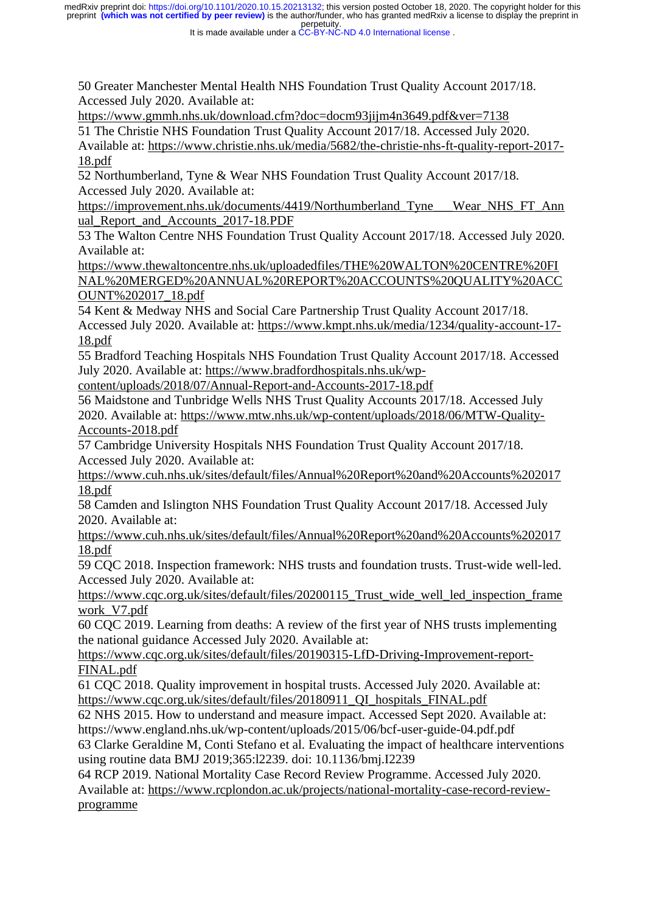It is made available under a CC-BY-NC-ND 4.0 International license.

50 Greater Manchester Mental Health NHS Foundation Trust Quality Account 2017/18. Accessed July 2020. Available at:

<https://www.gmmh.nhs.uk/download.cfm?doc=docm93jijm4n3649.pdf&ver=7138>

51 The Christie NHS Foundation Trust Quality Account 2017/18. Accessed July 2020.

Available at: [https://www.christie.nhs.uk/media/5682/the-christie-nhs-ft-quality-report-2017-](https://www.christie.nhs.uk/media/5682/the-christie-nhs-ft-quality-report-2017-18.pdf) [18.pdf](https://www.christie.nhs.uk/media/5682/the-christie-nhs-ft-quality-report-2017-18.pdf)

52 Northumberland, Tyne & Wear NHS Foundation Trust Quality Account 2017/18. Accessed July 2020. Available at:

[https://improvement.nhs.uk/documents/4419/Northumberland\\_Tyne\\_\\_\\_Wear\\_NHS\\_FT\\_Ann](https://improvement.nhs.uk/documents/4419/Northumberland_Tyne___Wear_NHS_FT_Annual_Report_and_Accounts_2017-18.PDF) ual Report and Accounts 2017-18.PDF

53 The Walton Centre NHS Foundation Trust Quality Account 2017/18. Accessed July 2020. Available at:

[https://www.thewaltoncentre.nhs.uk/uploadedfiles/THE%20WALTON%20CENTRE%20FI](https://www.thewaltoncentre.nhs.uk/uploadedfiles/THE%20WALTON%20CENTRE%20FINAL%20MERGED%20ANNUAL%20REPORT%20ACCOUNTS%20QUALITY%20ACCOUNT%202017_18.pdf) [NAL%20MERGED%20ANNUAL%20REPORT%20ACCOUNTS%20QUALITY%20ACC](https://www.thewaltoncentre.nhs.uk/uploadedfiles/THE%20WALTON%20CENTRE%20FINAL%20MERGED%20ANNUAL%20REPORT%20ACCOUNTS%20QUALITY%20ACCOUNT%202017_18.pdf) [OUNT%202017\\_18.pdf](https://www.thewaltoncentre.nhs.uk/uploadedfiles/THE%20WALTON%20CENTRE%20FINAL%20MERGED%20ANNUAL%20REPORT%20ACCOUNTS%20QUALITY%20ACCOUNT%202017_18.pdf)

54 Kent & Medway NHS and Social Care Partnership Trust Quality Account 2017/18. Accessed July 2020. Available at: [https://www.kmpt.nhs.uk/media/1234/quality-account-17-](https://www.kmpt.nhs.uk/media/1234/quality-account-17-18.pdf) [18.pdf](https://www.kmpt.nhs.uk/media/1234/quality-account-17-18.pdf)

55 Bradford Teaching Hospitals NHS Foundation Trust Quality Account 2017/18. Accessed July 2020. Available at: [https://www.bradfordhospitals.nhs.uk/wp-](https://www.bradfordhospitals.nhs.uk/wp-content/uploads/2018/07/Annual-Report-and-Accounts-2017-18.pdf)

[content/uploads/2018/07/Annual-Report-and-Accounts-2017-18.pdf](https://www.bradfordhospitals.nhs.uk/wp-content/uploads/2018/07/Annual-Report-and-Accounts-2017-18.pdf)

56 Maidstone and Tunbridge Wells NHS Trust Quality Accounts 2017/18. Accessed July 2020. Available at: [https://www.mtw.nhs.uk/wp-content/uploads/2018/06/MTW-Quality-](https://www.mtw.nhs.uk/wp-content/uploads/2018/06/MTW-Quality-Accounts-2018.pdf)[Accounts-2018.pdf](https://www.mtw.nhs.uk/wp-content/uploads/2018/06/MTW-Quality-Accounts-2018.pdf)

57 Cambridge University Hospitals NHS Foundation Trust Quality Account 2017/18. Accessed July 2020. Available at:

[https://www.cuh.nhs.uk/sites/default/files/Annual%20Report%20and%20Accounts%202017](https://www.cuh.nhs.uk/sites/default/files/Annual%20Report%20and%20Accounts%20201718.pdf) [18.pdf](https://www.cuh.nhs.uk/sites/default/files/Annual%20Report%20and%20Accounts%20201718.pdf)

58 Camden and Islington NHS Foundation Trust Quality Account 2017/18. Accessed July 2020. Available at:

[https://www.cuh.nhs.uk/sites/default/files/Annual%20Report%20and%20Accounts%202017](https://www.cuh.nhs.uk/sites/default/files/Annual%20Report%20and%20Accounts%20201718.pdf) [18.pdf](https://www.cuh.nhs.uk/sites/default/files/Annual%20Report%20and%20Accounts%20201718.pdf)

59 CQC 2018. Inspection framework: NHS trusts and foundation trusts. Trust-wide well-led. Accessed July 2020. Available at:

https://www.cqc.org.uk/sites/default/files/20200115 Trust wide well led inspection frame [work\\_V7.pdf](https://www.cqc.org.uk/sites/default/files/20200115_Trust_wide_well_led_inspection_framework_V7.pdf)

60 CQC 2019. Learning from deaths: A review of the first year of NHS trusts implementing the national guidance Accessed July 2020. Available at:

[https://www.cqc.org.uk/sites/default/files/20190315-LfD-Driving-Improvement-report-](https://www.cqc.org.uk/sites/default/files/20190315-LfD-Driving-Improvement-report-FINAL.pdf)[FINAL.pdf](https://www.cqc.org.uk/sites/default/files/20190315-LfD-Driving-Improvement-report-FINAL.pdf)

61 CQC 2018. Quality improvement in hospital trusts. Accessed July 2020. Available at: https://www.cqc.org.uk/sites/default/files/20180911\_OI\_hospitals\_FINAL.pdf

62 NHS 2015. How to understand and measure impact. Accessed Sept 2020. Available at: https://www.england.nhs.uk/wp-content/uploads/2015/06/bcf-user-guide-04.pdf.pdf

63 Clarke Geraldine M, Conti Stefano et al. Evaluating the impact of healthcare interventions using routine data BMJ 2019;365:l2239. doi: 10.1136/bmj.I2239

64 RCP 2019. National Mortality Case Record Review Programme. Accessed July 2020. Available at: [https://www.rcplondon.ac.uk/projects/national-mortality-case-record-review](https://www.rcplondon.ac.uk/projects/national-mortality-case-record-review-programme)[programme](https://www.rcplondon.ac.uk/projects/national-mortality-case-record-review-programme)